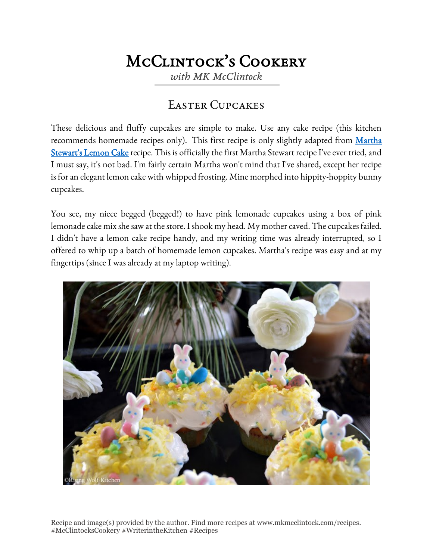## McClintock's Cookery

*with MK McClintock*

## Easter Cupcakes

These delicious and fluffy cupcakes are simple to make. Use any cake recipe (this kitchen recommends homemade recipes only). This first recipe is only slightly adapted from Martha [Stewart's Lemon Cake](http://www.marthastewart.com/632498/lemon-cake) recipe. This is officially the first Martha Stewart recipe I've ever tried, and I must say, it's not bad. I'm fairly certain Martha won't mind that I've shared, except her recipe is for an elegant lemon cake with whipped frosting. Mine morphed into hippity-hoppity bunny cupcakes.

You see, my niece begged (begged!) to have pink lemonade cupcakes using a box of pink lemonade cake mix she saw at the store. I shook my head. My mother caved. The cupcakes failed. I didn't have a lemon cake recipe handy, and my writing time was already interrupted, so I offered to whip up a batch of homemade lemon cupcakes. Martha's recipe was easy and at my fingertips (since I was already at my laptop writing).



Recipe and image(s) provided by the author. Find more recipes at www.mkmcclintock.com/recipes. #McClintocksCookery #WriterintheKitchen #Recipes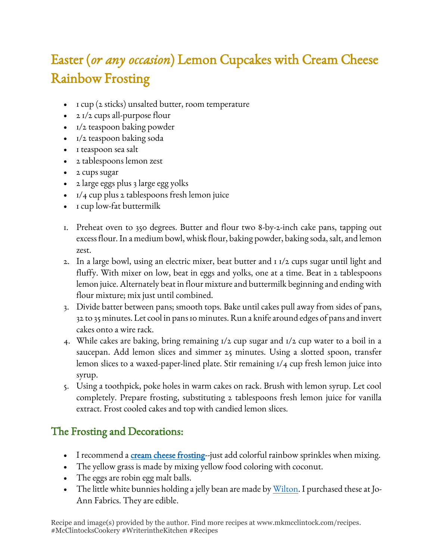## Easter (*or any occasion*) Lemon Cupcakes with Cream Cheese Rainbow Frosting

- I cup (2 sticks) unsalted butter, room temperature
- 2 1/2 cups all-purpose flour
- 1/2 teaspoon baking powder
- 1/2 teaspoon baking soda
- I teaspoon sea salt
- 2 tablespoons lemon zest
- 2 cups sugar
- 2 large eggs plus 3 large egg yolks
- $1/4$  cup plus 2 tablespoons fresh lemon juice
- I cup low-fat buttermilk
- 1. Preheat oven to 350 degrees. Butter and flour two 8-by-2-inch cake pans, tapping out excess flour. In a medium bowl, whisk flour, baking powder, baking soda, salt, and lemon zest.
- 2. In a large bowl, using an electric mixer, beat butter and 1 1/2 cups sugar until light and fluffy. With mixer on low, beat in eggs and yolks, one at a time. Beat in 2 tablespoons lemon juice. Alternately beat in flour mixture and buttermilk beginning and ending with flour mixture; mix just until combined.
- 3. Divide batter between pans; smooth tops. Bake until cakes pull away from sides of pans, 32 to 35 minutes. Let cool in pans 10 minutes. Run a knife around edges of pans and invert cakes onto a wire rack.
- 4. While cakes are baking, bring remaining 1/2 cup sugar and 1/2 cup water to a boil in a saucepan. Add lemon slices and simmer 25 minutes. Using a slotted spoon, transfer lemon slices to a waxed-paper-lined plate. Stir remaining 1/4 cup fresh lemon juice into syrup.
- 5. Using a toothpick, poke holes in warm cakes on rack. Brush with lemon syrup. Let cool completely. Prepare frosting, substituting 2 tablespoons fresh lemon juice for vanilla extract. Frost cooled cakes and top with candied lemon slices.

## The Frosting and Decorations:

- I recommend a [cream cheese frosting-](http://www.marthastewart.com/964331/cream-cheese-frosting)-just add colorful rainbow sprinkles when mixing.
- The yellow grass is made by mixing yellow food coloring with coconut.
- The eggs are robin egg malt balls.
- The little white bunnies holding a jelly bean are made by <u>Wilton</u>. I purchased these at Jo-Ann Fabrics. They are edible.

Recipe and image(s) provided by the author. Find more recipes at www.mkmcclintock.com/recipes. #McClintocksCookery #WriterintheKitchen #Recipes